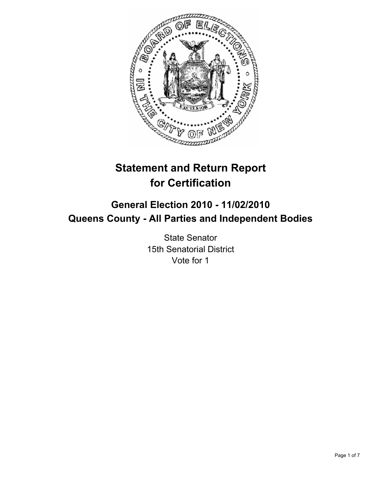

# **Statement and Return Report for Certification**

## **General Election 2010 - 11/02/2010 Queens County - All Parties and Independent Bodies**

State Senator 15th Senatorial District Vote for 1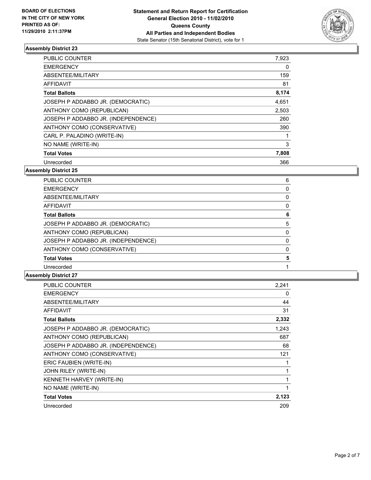

| <b>PUBLIC COUNTER</b>               | 7,923 |
|-------------------------------------|-------|
| <b>EMERGENCY</b>                    | 0     |
| ABSENTEE/MILITARY                   | 159   |
| <b>AFFIDAVIT</b>                    | 81    |
| <b>Total Ballots</b>                | 8,174 |
| JOSEPH P ADDABBO JR. (DEMOCRATIC)   | 4,651 |
| ANTHONY COMO (REPUBLICAN)           | 2,503 |
| JOSEPH P ADDABBO JR. (INDEPENDENCE) | 260   |
| ANTHONY COMO (CONSERVATIVE)         | 390   |
| CARL P. PALADINO (WRITE-IN)         | 1     |
| NO NAME (WRITE-IN)                  | 3     |
| <b>Total Votes</b>                  | 7,808 |
| Unrecorded                          | 366   |

#### **Assembly District 25**

| <b>PUBLIC COUNTER</b>               | 6 |
|-------------------------------------|---|
| <b>EMERGENCY</b>                    | 0 |
| ABSENTEE/MILITARY                   | 0 |
| <b>AFFIDAVIT</b>                    | 0 |
| <b>Total Ballots</b>                | 6 |
| JOSEPH P ADDABBO JR. (DEMOCRATIC)   | 5 |
| ANTHONY COMO (REPUBLICAN)           | 0 |
| JOSEPH P ADDABBO JR. (INDEPENDENCE) | 0 |
| ANTHONY COMO (CONSERVATIVE)         | 0 |
| <b>Total Votes</b>                  | 5 |
| Unrecorded                          |   |
|                                     |   |

| <b>PUBLIC COUNTER</b>               | 2.241 |
|-------------------------------------|-------|
| <b>EMERGENCY</b>                    | 0     |
| ABSENTEE/MILITARY                   | 44    |
| <b>AFFIDAVIT</b>                    | 31    |
| <b>Total Ballots</b>                | 2,332 |
| JOSEPH P ADDABBO JR. (DEMOCRATIC)   | 1,243 |
| ANTHONY COMO (REPUBLICAN)           | 687   |
| JOSEPH P ADDABBO JR. (INDEPENDENCE) | 68    |
| ANTHONY COMO (CONSERVATIVE)         | 121   |
| ERIC FAUBIEN (WRITE-IN)             |       |
| JOHN RILEY (WRITE-IN)               | 1     |
| KENNETH HARVEY (WRITE-IN)           |       |
| NO NAME (WRITE-IN)                  |       |
| <b>Total Votes</b>                  | 2,123 |
| Unrecorded                          | 209   |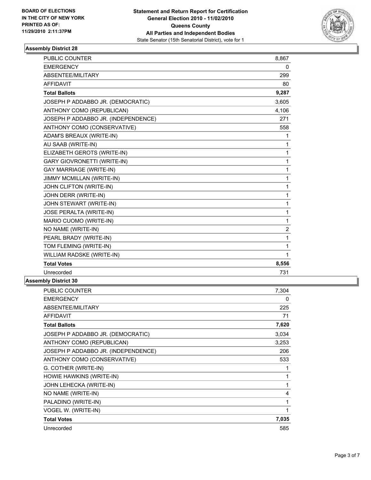

| <b>PUBLIC COUNTER</b>               | 8,867 |
|-------------------------------------|-------|
| <b>EMERGENCY</b>                    | 0     |
| ABSENTEE/MILITARY                   | 299   |
| <b>AFFIDAVIT</b>                    | 80    |
| <b>Total Ballots</b>                | 9,287 |
| JOSEPH P ADDABBO JR. (DEMOCRATIC)   | 3,605 |
| ANTHONY COMO (REPUBLICAN)           | 4,106 |
| JOSEPH P ADDABBO JR. (INDEPENDENCE) | 271   |
| ANTHONY COMO (CONSERVATIVE)         | 558   |
| ADAM'S BREAUX (WRITE-IN)            | 1     |
| AU SAAB (WRITE-IN)                  | 1     |
| ELIZABETH GEROTS (WRITE-IN)         | 1     |
| <b>GARY GIOVRONETTI (WRITE-IN)</b>  | 1     |
| <b>GAY MARRIAGE (WRITE-IN)</b>      | 1     |
| JIMMY MCMILLAN (WRITE-IN)           | 1     |
| JOHN CLIFTON (WRITE-IN)             | 1     |
| JOHN DERR (WRITE-IN)                | 1     |
| JOHN STEWART (WRITE-IN)             | 1     |
| JOSE PERALTA (WRITE-IN)             | 1     |
| MARIO CUOMO (WRITE-IN)              | 1     |
| NO NAME (WRITE-IN)                  | 2     |
| PEARL BRADY (WRITE-IN)              | 1     |
| TOM FLEMING (WRITE-IN)              | 1     |
| WILLIAM RADSKE (WRITE-IN)           | 1     |
| <b>Total Votes</b>                  | 8,556 |
| Unrecorded                          | 731   |
| いんしょ へいへんぶんそ クハ                     |       |

| <b>PUBLIC COUNTER</b>               | 7,304 |
|-------------------------------------|-------|
| <b>EMERGENCY</b>                    | 0     |
| ABSENTEE/MILITARY                   | 225   |
| <b>AFFIDAVIT</b>                    | 71    |
| <b>Total Ballots</b>                | 7,620 |
| JOSEPH P ADDABBO JR. (DEMOCRATIC)   | 3,034 |
| ANTHONY COMO (REPUBLICAN)           | 3,253 |
| JOSEPH P ADDABBO JR. (INDEPENDENCE) | 206   |
| ANTHONY COMO (CONSERVATIVE)         | 533   |
| G. COTHER (WRITE-IN)                |       |
| HOWIE HAWKINS (WRITE-IN)            | 1     |
| JOHN LEHECKA (WRITE-IN)             | 1     |
| NO NAME (WRITE-IN)                  | 4     |
| PALADINO (WRITE-IN)                 |       |
| VOGEL W. (WRITE-IN)                 |       |
| <b>Total Votes</b>                  | 7,035 |
| Unrecorded                          | 585   |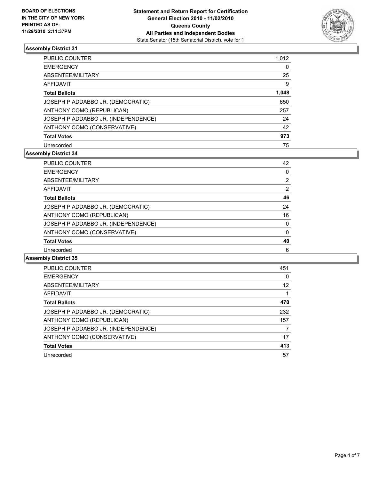

| <b>PUBLIC COUNTER</b>               | 1,012 |
|-------------------------------------|-------|
| <b>EMERGENCY</b>                    | 0     |
| ABSENTEE/MILITARY                   | 25    |
| <b>AFFIDAVIT</b>                    | 9     |
| <b>Total Ballots</b>                | 1,048 |
| JOSEPH P ADDABBO JR. (DEMOCRATIC)   | 650   |
| ANTHONY COMO (REPUBLICAN)           | 257   |
| JOSEPH P ADDABBO JR. (INDEPENDENCE) | 24    |
| ANTHONY COMO (CONSERVATIVE)         | 42    |
| <b>Total Votes</b>                  | 973   |
| Unrecorded                          | 75    |

#### **Assembly District 34**

| <b>PUBLIC COUNTER</b>               | 42 |
|-------------------------------------|----|
| <b>EMERGENCY</b>                    | 0  |
| ABSENTEE/MILITARY                   | 2  |
| <b>AFFIDAVIT</b>                    | 2  |
| <b>Total Ballots</b>                | 46 |
| JOSEPH P ADDABBO JR. (DEMOCRATIC)   | 24 |
| ANTHONY COMO (REPUBLICAN)           | 16 |
| JOSEPH P ADDABBO JR. (INDEPENDENCE) | 0  |
| ANTHONY COMO (CONSERVATIVE)         | 0  |
| <b>Total Votes</b>                  | 40 |
| Unrecorded                          | 6  |

| <b>PUBLIC COUNTER</b>               | 451 |
|-------------------------------------|-----|
| <b>EMERGENCY</b>                    | 0   |
| ABSENTEE/MILITARY                   | 12  |
| AFFIDAVIT                           |     |
| <b>Total Ballots</b>                | 470 |
| JOSEPH P ADDABBO JR. (DEMOCRATIC)   | 232 |
| ANTHONY COMO (REPUBLICAN)           | 157 |
| JOSEPH P ADDABBO JR. (INDEPENDENCE) |     |
| ANTHONY COMO (CONSERVATIVE)         | 17  |
| <b>Total Votes</b>                  | 413 |
| Unrecorded                          | 57  |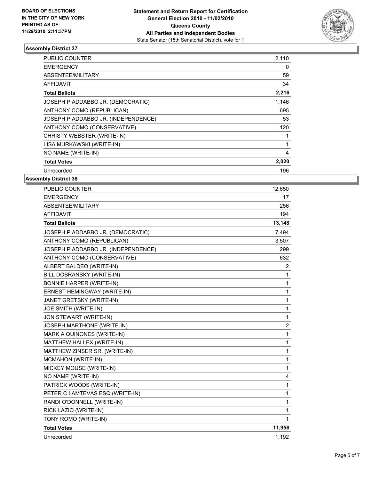

| PUBLIC COUNTER                      | 2,110 |
|-------------------------------------|-------|
| <b>EMERGENCY</b>                    | 0     |
| ABSENTEE/MILITARY                   | 59    |
| <b>AFFIDAVIT</b>                    | 34    |
| <b>Total Ballots</b>                | 2,216 |
| JOSEPH P ADDABBO JR. (DEMOCRATIC)   | 1,146 |
| ANTHONY COMO (REPUBLICAN)           | 695   |
| JOSEPH P ADDABBO JR. (INDEPENDENCE) | 53    |
| ANTHONY COMO (CONSERVATIVE)         | 120   |
| CHRISTY WEBSTER (WRITE-IN)          | 1     |
| LISA MURKAWSKI (WRITE-IN)           | 1     |
| NO NAME (WRITE-IN)                  | 4     |
| <b>Total Votes</b>                  | 2,020 |
| Unrecorded                          | 196   |

| <b>PUBLIC COUNTER</b>               | 12,650         |
|-------------------------------------|----------------|
| <b>EMERGENCY</b>                    | 17             |
| ABSENTEE/MILITARY                   | 256            |
| <b>AFFIDAVIT</b>                    | 194            |
| <b>Total Ballots</b>                | 13,148         |
| JOSEPH P ADDABBO JR. (DEMOCRATIC)   | 7,494          |
| ANTHONY COMO (REPUBLICAN)           | 3,507          |
| JOSEPH P ADDABBO JR. (INDEPENDENCE) | 299            |
| ANTHONY COMO (CONSERVATIVE)         | 632            |
| ALBERT BALDEO (WRITE-IN)            | $\overline{2}$ |
| BILL DOBRANSKY (WRITE-IN)           | 1              |
| <b>BONNIE HARPER (WRITE-IN)</b>     | 1              |
| ERNEST HEMINGWAY (WRITE-IN)         | 1              |
| JANET GRETSKY (WRITE-IN)            | 1              |
| JOE SMITH (WRITE-IN)                | 1              |
| JON STEWART (WRITE-IN)              | 1              |
| <b>JOSEPH MARTHONE (WRITE-IN)</b>   | $\overline{2}$ |
| MARK A QUINONES (WRITE-IN)          | 1              |
| MATTHEW HALLEX (WRITE-IN)           | 1              |
| MATTHEW ZINSER SR. (WRITE-IN)       | 1              |
| MCMAHON (WRITE-IN)                  | 1              |
| MICKEY MOUSE (WRITE-IN)             | 1              |
| NO NAME (WRITE-IN)                  | 4              |
| PATRICK WOODS (WRITE-IN)            | 1              |
| PETER C LAMTEVAS ESQ (WRITE-IN)     | 1              |
| RANDI O'DONNELL (WRITE-IN)          | 1              |
| RICK LAZIO (WRITE-IN)               | 1              |
| TONY ROMO (WRITE-IN)                | 1              |
| <b>Total Votes</b>                  | 11,956         |
| Unrecorded                          | 1,192          |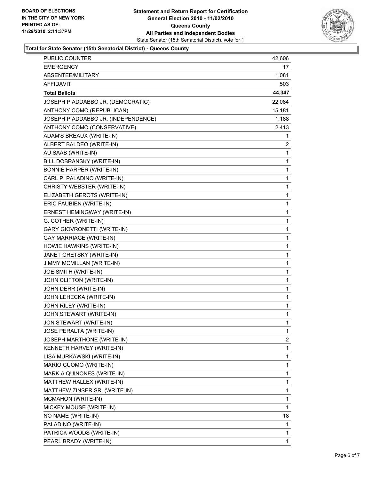

#### **Total for State Senator (15th Senatorial District) - Queens County**

| PUBLIC COUNTER                      | 42,606       |
|-------------------------------------|--------------|
| <b>EMERGENCY</b>                    | 17           |
| ABSENTEE/MILITARY                   | 1,081        |
| AFFIDAVIT                           | 503          |
| <b>Total Ballots</b>                | 44,347       |
| JOSEPH P ADDABBO JR. (DEMOCRATIC)   | 22,084       |
| ANTHONY COMO (REPUBLICAN)           | 15,181       |
| JOSEPH P ADDABBO JR. (INDEPENDENCE) | 1,188        |
| ANTHONY COMO (CONSERVATIVE)         | 2,413        |
| ADAM'S BREAUX (WRITE-IN)            | 1            |
| ALBERT BALDEO (WRITE-IN)            | 2            |
| AU SAAB (WRITE-IN)                  | 1            |
| BILL DOBRANSKY (WRITE-IN)           | 1            |
| <b>BONNIE HARPER (WRITE-IN)</b>     | 1            |
| CARL P. PALADINO (WRITE-IN)         | 1            |
| CHRISTY WEBSTER (WRITE-IN)          | 1            |
| ELIZABETH GEROTS (WRITE-IN)         | 1            |
| ERIC FAUBIEN (WRITE-IN)             | 1            |
| ERNEST HEMINGWAY (WRITE-IN)         | 1            |
| G. COTHER (WRITE-IN)                | 1            |
| GARY GIOVRONETTI (WRITE-IN)         | 1            |
| <b>GAY MARRIAGE (WRITE-IN)</b>      | 1            |
| HOWIE HAWKINS (WRITE-IN)            | 1            |
| JANET GRETSKY (WRITE-IN)            | 1            |
| JIMMY MCMILLAN (WRITE-IN)           | 1            |
| JOE SMITH (WRITE-IN)                | 1            |
| JOHN CLIFTON (WRITE-IN)             | 1            |
| JOHN DERR (WRITE-IN)                | 1            |
| JOHN LEHECKA (WRITE-IN)             | 1            |
| JOHN RILEY (WRITE-IN)               | 1            |
| JOHN STEWART (WRITE-IN)             | 1            |
| JON STEWART (WRITE-IN)              | $\mathbf{1}$ |
| JOSE PERALTA (WRITE-IN)             | 1            |
| JOSEPH MARTHONE (WRITE-IN)          | 2            |
| KENNETH HARVEY (WRITE-IN)           | 1            |
| LISA MURKAWSKI (WRITE-IN)           | 1            |
| MARIO CUOMO (WRITE-IN)              | 1            |
| MARK A QUINONES (WRITE-IN)          | 1            |
| MATTHEW HALLEX (WRITE-IN)           | 1            |
| MATTHEW ZINSER SR. (WRITE-IN)       | 1            |
| MCMAHON (WRITE-IN)                  | 1            |
| MICKEY MOUSE (WRITE-IN)             | 1            |
| NO NAME (WRITE-IN)                  | 18           |
| PALADINO (WRITE-IN)                 | 1            |
| PATRICK WOODS (WRITE-IN)            | 1            |
| PEARL BRADY (WRITE-IN)              | 1            |